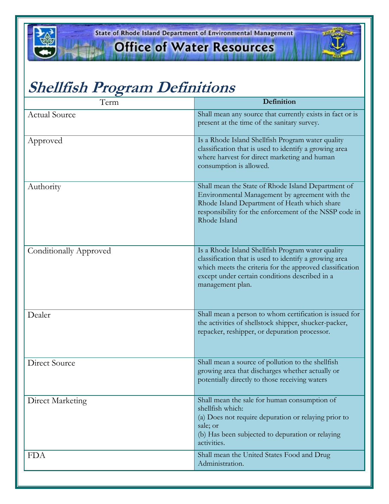

State of Rhode Island Department of Environmental Management

**Office of Water Resources** 

## **Shellfish Program Definitions**

| Term                          | Definition                                                                                                                                                                                                                                    |
|-------------------------------|-----------------------------------------------------------------------------------------------------------------------------------------------------------------------------------------------------------------------------------------------|
| <b>Actual Source</b>          | Shall mean any source that currently exists in fact or is<br>present at the time of the sanitary survey.                                                                                                                                      |
| Approved                      | Is a Rhode Island Shellfish Program water quality<br>classification that is used to identify a growing area<br>where harvest for direct marketing and human<br>consumption is allowed.                                                        |
| Authority                     | Shall mean the State of Rhode Island Department of<br>Environmental Management by agreement with the<br>Rhode Island Department of Heath which share<br>responsibility for the enforcement of the NSSP code in<br>Rhode Island                |
| <b>Conditionally Approved</b> | Is a Rhode Island Shellfish Program water quality<br>classification that is used to identify a growing area<br>which meets the criteria for the approved classification<br>except under certain conditions described in a<br>management plan. |
| Dealer                        | Shall mean a person to whom certification is issued for<br>the activities of shellstock shipper, shucker-packer,<br>repacker, reshipper, or depuration processor.                                                                             |
| Direct Source                 | Shall mean a source of pollution to the shellfish<br>growing area that discharges whether actually or<br>potentially directly to those receiving waters                                                                                       |
| <b>Direct Marketing</b>       | Shall mean the sale for human consumption of<br>shellfish which:<br>(a) Does not require depuration or relaying prior to<br>sale; or<br>(b) Has been subjected to depuration or relaying<br>activities.                                       |
| <b>FDA</b>                    | Shall mean the United States Food and Drug<br>Administration.                                                                                                                                                                                 |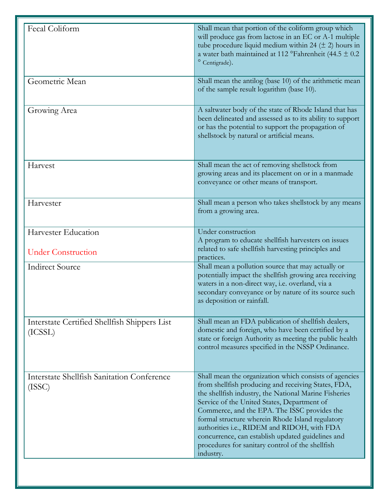| Fecal Coliform                                              | Shall mean that portion of the coliform group which<br>will produce gas from lactose in an EC or A-1 multiple<br>tube procedure liquid medium within 24 $(\pm 2)$ hours in<br>a water bath maintained at 112 °Fahrenheit (44.5 $\pm$ 0.2<br>° Centigrade).                                                                                                                                                                                                                                     |
|-------------------------------------------------------------|------------------------------------------------------------------------------------------------------------------------------------------------------------------------------------------------------------------------------------------------------------------------------------------------------------------------------------------------------------------------------------------------------------------------------------------------------------------------------------------------|
| Geometric Mean                                              | Shall mean the antilog (base 10) of the arithmetic mean<br>of the sample result logarithm (base 10).                                                                                                                                                                                                                                                                                                                                                                                           |
| Growing Area                                                | A saltwater body of the state of Rhode Island that has<br>been delineated and assessed as to its ability to support<br>or has the potential to support the propagation of<br>shellstock by natural or artificial means.                                                                                                                                                                                                                                                                        |
| Harvest                                                     | Shall mean the act of removing shellstock from<br>growing areas and its placement on or in a manmade<br>conveyance or other means of transport.                                                                                                                                                                                                                                                                                                                                                |
| Harvester                                                   | Shall mean a person who takes shellstock by any means<br>from a growing area.                                                                                                                                                                                                                                                                                                                                                                                                                  |
| Harvester Education<br><b>Under Construction</b>            | Under construction<br>A program to educate shellfish harvesters on issues<br>related to safe shellfish harvesting principles and<br>practices.                                                                                                                                                                                                                                                                                                                                                 |
| <b>Indirect Source</b>                                      | Shall mean a pollution source that may actually or<br>potentially impact the shellfish growing area receiving<br>waters in a non-direct way, i.e. overland, via a<br>secondary conveyance or by nature of its source such<br>as deposition or rainfall.                                                                                                                                                                                                                                        |
| Interstate Certified Shellfish Shippers List<br>(ICSSI)     | Shall mean an FDA publication of shellfish dealers,<br>domestic and foreign, who have been certified by a<br>state or foreign Authority as meeting the public health<br>control measures specified in the NSSP Ordinance.                                                                                                                                                                                                                                                                      |
| <b>Interstate Shellfish Sanitation Conference</b><br>(ISSC) | Shall mean the organization which consists of agencies<br>from shellfish producing and receiving States, FDA,<br>the shellfish industry, the National Marine Fisheries<br>Service of the United States, Department of<br>Commerce, and the EPA. The ISSC provides the<br>formal structure wherein Rhode Island regulatory<br>authorities i.e., RIDEM and RIDOH, with FDA<br>concurrence, can establish updated guidelines and<br>procedures for sanitary control of the shellfish<br>industry. |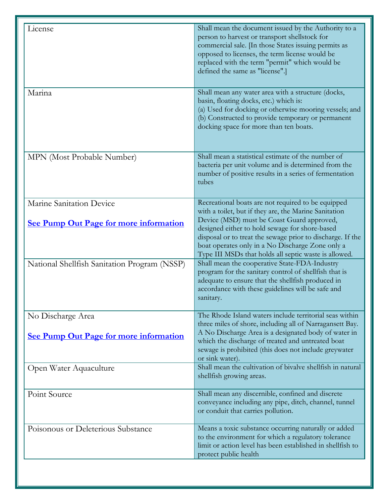| License                                                            | Shall mean the document issued by the Authority to a<br>person to harvest or transport shellstock for<br>commercial sale. [In those States issuing permits as<br>opposed to licenses, the term license would be<br>replaced with the term "permit" which would be<br>defined the same as "license".]         |
|--------------------------------------------------------------------|--------------------------------------------------------------------------------------------------------------------------------------------------------------------------------------------------------------------------------------------------------------------------------------------------------------|
| Marina                                                             | Shall mean any water area with a structure (docks,<br>basin, floating docks, etc.) which is:<br>(a) Used for docking or otherwise mooring vessels; and<br>(b) Constructed to provide temporary or permanent<br>docking space for more than ten boats.                                                        |
| MPN (Most Probable Number)                                         | Shall mean a statistical estimate of the number of<br>bacteria per unit volume and is determined from the<br>number of positive results in a series of fermentation<br>tubes                                                                                                                                 |
| Marine Sanitation Device                                           | Recreational boats are not required to be equipped<br>with a toilet, but if they are, the Marine Sanitation                                                                                                                                                                                                  |
| <b>See Pump Out Page for more information</b>                      | Device (MSD) must be Coast Guard approved,<br>designed either to hold sewage for shore-based<br>disposal or to treat the sewage prior to discharge. If the<br>boat operates only in a No Discharge Zone only a<br>Type III MSDs that holds all septic waste is allowed.                                      |
| National Shellfish Sanitation Program (NSSP)                       | Shall mean the cooperative State-FDA-Industry<br>program for the sanitary control of shellfish that is<br>adequate to ensure that the shellfish produced in<br>accordance with these guidelines will be safe and<br>sanitary.                                                                                |
| No Discharge Area<br><b>See Pump Out Page for more information</b> | The Rhode Island waters include territorial seas within<br>three miles of shore, including all of Narragansett Bay.<br>A No Discharge Area is a designated body of water in<br>which the discharge of treated and untreated boat<br>sewage is prohibited (this does not include greywater<br>or sink water). |
| Open Water Aquaculture                                             | Shall mean the cultivation of bivalve shellfish in natural<br>shellfish growing areas.                                                                                                                                                                                                                       |
| Point Source                                                       | Shall mean any discernible, confined and discrete<br>conveyance including any pipe, ditch, channel, tunnel<br>or conduit that carries pollution.                                                                                                                                                             |
| Poisonous or Deleterious Substance                                 | Means a toxic substance occurring naturally or added<br>to the environment for which a regulatory tolerance<br>limit or action level has been established in shellfish to<br>protect public health                                                                                                           |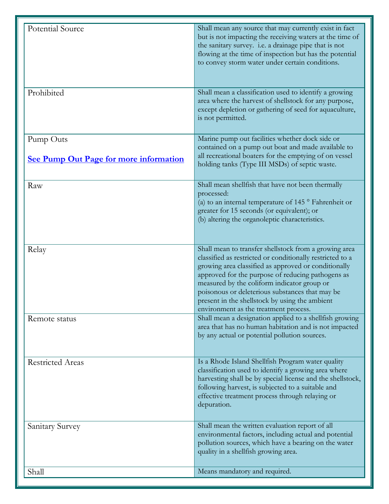| Potential Source                                           | Shall mean any source that may currently exist in fact<br>but is not impacting the receiving waters at the time of<br>the sanitary survey. i.e. a drainage pipe that is not<br>flowing at the time of inspection but has the potential<br>to convey storm water under certain conditions.                                                                                                                                    |
|------------------------------------------------------------|------------------------------------------------------------------------------------------------------------------------------------------------------------------------------------------------------------------------------------------------------------------------------------------------------------------------------------------------------------------------------------------------------------------------------|
| Prohibited                                                 | Shall mean a classification used to identify a growing<br>area where the harvest of shellstock for any purpose,<br>except depletion or gathering of seed for aquaculture,<br>is not permitted.                                                                                                                                                                                                                               |
| Pump Outs<br><b>See Pump Out Page for more information</b> | Marine pump out facilities whether dock side or<br>contained on a pump out boat and made available to<br>all recreational boaters for the emptying of on vessel<br>holding tanks (Type III MSDs) of septic waste.                                                                                                                                                                                                            |
| Raw                                                        | Shall mean shellfish that have not been thermally<br>processed:<br>(a) to an internal temperature of 145 $\degree$ Fahrenheit or<br>greater for 15 seconds (or equivalent); or<br>(b) altering the organoleptic characteristics.                                                                                                                                                                                             |
| Relay                                                      | Shall mean to transfer shellstock from a growing area<br>classified as restricted or conditionally restricted to a<br>growing area classified as approved or conditionally<br>approved for the purpose of reducing pathogens as<br>measured by the coliform indicator group or<br>poisonous or deleterious substances that may be<br>present in the shellstock by using the ambient<br>environment as the treatment process. |
| Remote status                                              | Shall mean a designation applied to a shellfish growing<br>area that has no human habitation and is not impacted<br>by any actual or potential pollution sources.                                                                                                                                                                                                                                                            |
| <b>Restricted Areas</b>                                    | Is a Rhode Island Shellfish Program water quality<br>classification used to identify a growing area where<br>harvesting shall be by special license and the shellstock,<br>following harvest, is subjected to a suitable and<br>effective treatment process through relaying or<br>depuration.                                                                                                                               |
| Sanitary Survey                                            | Shall mean the written evaluation report of all<br>environmental factors, including actual and potential<br>pollution sources, which have a bearing on the water<br>quality in a shellfish growing area.                                                                                                                                                                                                                     |
| Shall                                                      | Means mandatory and required.                                                                                                                                                                                                                                                                                                                                                                                                |